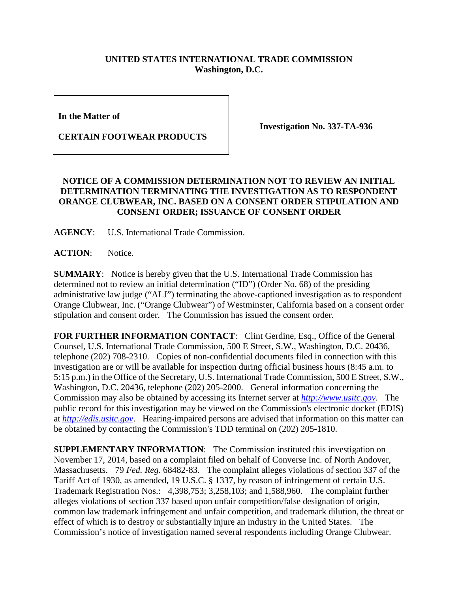## **UNITED STATES INTERNATIONAL TRADE COMMISSION Washington, D.C.**

**In the Matter of** 

**CERTAIN FOOTWEAR PRODUCTS**

**Investigation No. 337-TA-936**

## **NOTICE OF A COMMISSION DETERMINATION NOT TO REVIEW AN INITIAL DETERMINATION TERMINATING THE INVESTIGATION AS TO RESPONDENT ORANGE CLUBWEAR, INC. BASED ON A CONSENT ORDER STIPULATION AND CONSENT ORDER; ISSUANCE OF CONSENT ORDER**

**AGENCY**: U.S. International Trade Commission.

**ACTION**: Notice.

**SUMMARY**: Notice is hereby given that the U.S. International Trade Commission has determined not to review an initial determination ("ID") (Order No. 68) of the presiding administrative law judge ("ALJ") terminating the above-captioned investigation as to respondent Orange Clubwear, Inc. ("Orange Clubwear") of Westminster, California based on a consent order stipulation and consent order. The Commission has issued the consent order.

FOR FURTHER INFORMATION CONTACT: Clint Gerdine, Esq., Office of the General Counsel, U.S. International Trade Commission, 500 E Street, S.W., Washington, D.C. 20436, telephone (202) 708-2310. Copies of non-confidential documents filed in connection with this investigation are or will be available for inspection during official business hours (8:45 a.m. to 5:15 p.m.) in the Office of the Secretary, U.S. International Trade Commission, 500 E Street, S.W., Washington, D.C. 20436, telephone (202) 205-2000. General information concerning the Commission may also be obtained by accessing its Internet server at *[http://www.usitc.gov](http://www.usitc.gov/)*. The public record for this investigation may be viewed on the Commission's electronic docket (EDIS) at *[http://edis.usitc.gov](http://edis.usitc.gov/)*. Hearing-impaired persons are advised that information on this matter can be obtained by contacting the Commission's TDD terminal on (202) 205-1810.

**SUPPLEMENTARY INFORMATION**: The Commission instituted this investigation on November 17, 2014, based on a complaint filed on behalf of Converse Inc. of North Andover, Massachusetts. 79 *Fed. Reg.* 68482-83. The complaint alleges violations of section 337 of the Tariff Act of 1930, as amended, 19 U.S.C. § 1337, by reason of infringement of certain U.S. Trademark Registration Nos.: 4,398,753; 3,258,103; and 1,588,960. The complaint further alleges violations of section 337 based upon unfair competition/false designation of origin, common law trademark infringement and unfair competition, and trademark dilution, the threat or effect of which is to destroy or substantially injure an industry in the United States. The Commission's notice of investigation named several respondents including Orange Clubwear.